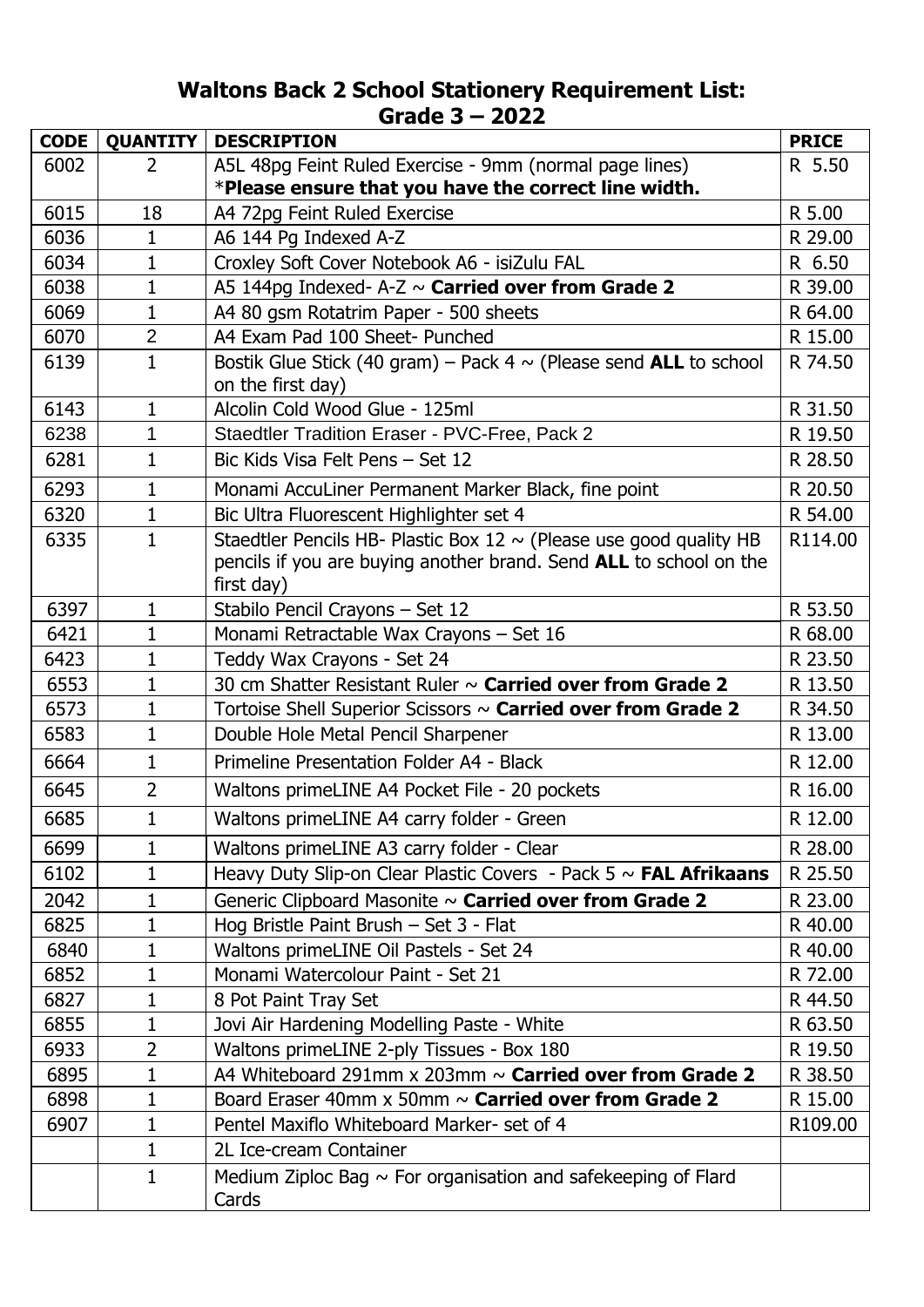## **Waltons Back 2 School Stationery Requirement List: Grade 3 – 2022**

| <b>CODE</b> | <b>QUANTITY</b> | <b>DESCRIPTION</b>                                                                                                                                          | <b>PRICE</b> |
|-------------|-----------------|-------------------------------------------------------------------------------------------------------------------------------------------------------------|--------------|
| 6002        | 2               | A5L 48pg Feint Ruled Exercise - 9mm (normal page lines)                                                                                                     | R 5.50       |
|             |                 | *Please ensure that you have the correct line width.                                                                                                        |              |
| 6015        | 18              | A4 72pg Feint Ruled Exercise                                                                                                                                | R 5.00       |
| 6036        | $\mathbf{1}$    | A6 144 Pg Indexed A-Z                                                                                                                                       | R 29.00      |
| 6034        | 1               | Croxley Soft Cover Notebook A6 - isiZulu FAL                                                                                                                | R 6.50       |
| 6038        | $\mathbf{1}$    | A5 144pg Indexed- A-Z $\sim$ Carried over from Grade 2                                                                                                      | R 39.00      |
| 6069        | $\mathbf{1}$    | A4 80 gsm Rotatrim Paper - 500 sheets                                                                                                                       | R 64.00      |
| 6070        | $\overline{2}$  | A4 Exam Pad 100 Sheet- Punched                                                                                                                              | R 15.00      |
| 6139        | $\mathbf{1}$    | Bostik Glue Stick (40 gram) – Pack 4 $\sim$ (Please send ALL to school<br>on the first day)                                                                 | R 74.50      |
| 6143        | $\mathbf{1}$    | Alcolin Cold Wood Glue - 125ml                                                                                                                              | R 31.50      |
| 6238        | 1               | Staedtler Tradition Eraser - PVC-Free, Pack 2                                                                                                               | R 19.50      |
| 6281        | 1               | Bic Kids Visa Felt Pens - Set 12                                                                                                                            | R 28.50      |
| 6293        | $\mathbf{1}$    | Monami AccuLiner Permanent Marker Black, fine point                                                                                                         | R 20.50      |
| 6320        | 1               | Bic Ultra Fluorescent Highlighter set 4                                                                                                                     | R 54.00      |
| 6335        | $\mathbf{1}$    | Staedtler Pencils HB- Plastic Box 12 $\sim$ (Please use good quality HB<br>pencils if you are buying another brand. Send ALL to school on the<br>first day) | R114.00      |
| 6397        | 1               | Stabilo Pencil Crayons - Set 12                                                                                                                             | R 53.50      |
| 6421        | $\mathbf{1}$    | Monami Retractable Wax Crayons - Set 16                                                                                                                     | R 68.00      |
| 6423        | 1               | Teddy Wax Crayons - Set 24                                                                                                                                  | R 23.50      |
| 6553        | 1               | 30 cm Shatter Resistant Ruler ~ Carried over from Grade 2                                                                                                   | R 13.50      |
| 6573        | $\mathbf{1}$    | Tortoise Shell Superior Scissors $\sim$ Carried over from Grade 2                                                                                           | R 34.50      |
| 6583        | 1               | Double Hole Metal Pencil Sharpener                                                                                                                          | R 13.00      |
| 6664        | $\mathbf{1}$    | Primeline Presentation Folder A4 - Black                                                                                                                    | R 12.00      |
| 6645        | $\overline{2}$  | Waltons primeLINE A4 Pocket File - 20 pockets                                                                                                               | R 16.00      |
| 6685        |                 | Waltons primeLINE A4 carry folder - Green                                                                                                                   | R 12.00      |
| 6699        | $\mathbf{1}$    | Waltons primeLINE A3 carry folder - Clear                                                                                                                   | R 28.00      |
| 6102        | $\mathbf{1}$    | Heavy Duty Slip-on Clear Plastic Covers - Pack $5 \sim \text{FAL Afrikaans}$                                                                                | R 25.50      |
| 2042        | 1               | Generic Clipboard Masonite ~ Carried over from Grade 2                                                                                                      | R 23.00      |
| 6825        | 1               | Hog Bristle Paint Brush - Set 3 - Flat                                                                                                                      | R 40.00      |
| 6840        | 1               | Waltons primeLINE Oil Pastels - Set 24                                                                                                                      | R 40.00      |
| 6852        | 1               | Monami Watercolour Paint - Set 21                                                                                                                           | R 72.00      |
| 6827        | 1               | 8 Pot Paint Tray Set                                                                                                                                        | R 44.50      |
| 6855        | 1               | Jovi Air Hardening Modelling Paste - White                                                                                                                  | R 63.50      |
| 6933        | 2               | Waltons primeLINE 2-ply Tissues - Box 180                                                                                                                   | R 19.50      |
| 6895        | 1               | A4 Whiteboard 291mm $\times$ 203mm $\sim$ Carried over from Grade 2                                                                                         | R 38.50      |
| 6898        | 1               | Board Eraser 40mm $x$ 50mm $\sim$ Carried over from Grade 2                                                                                                 | R 15.00      |
| 6907        | 1               | Pentel Maxiflo Whiteboard Marker- set of 4                                                                                                                  | R109.00      |
|             | $\mathbf{1}$    | 2L Ice-cream Container                                                                                                                                      |              |
|             | $\mathbf{1}$    | Medium Ziploc Bag $\sim$ For organisation and safekeeping of Flard<br>Cards                                                                                 |              |